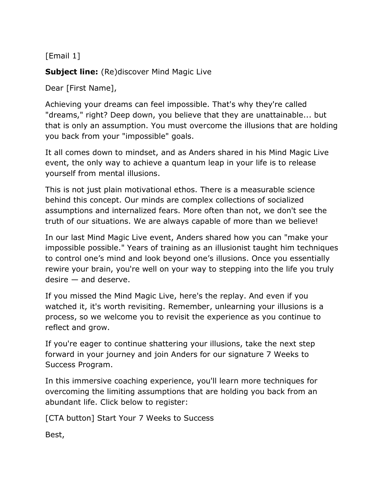[Email 1]

**Subject line:** (Re)discover Mind Magic Live

Dear [First Name],

Achieving your dreams can feel impossible. That's why they're called "dreams," right? Deep down, you believe that they are unattainable... but that is only an assumption. You must overcome the illusions that are holding you back from your "impossible" goals.

It all comes down to mindset, and as Anders shared in his Mind Magic Live event, the only way to achieve a quantum leap in your life is to release yourself from mental illusions.

This is not just plain motivational ethos. There is a measurable science behind this concept. Our minds are complex collections of socialized assumptions and internalized fears. More often than not, we don't see the truth of our situations. We are always capable of more than we believe!

In our last Mind Magic Live event, Anders shared how you can "make your impossible possible." Years of training as an illusionist taught him techniques to control one's mind and look beyond one's illusions. Once you essentially rewire your brain, you're well on your way to stepping into the life you truly desire — and deserve.

If you missed the Mind Magic Live, here's the replay. And even if you watched it, it's worth revisiting. Remember, unlearning your illusions is a process, so we welcome you to revisit the experience as you continue to reflect and grow.

If you're eager to continue shattering your illusions, take the next step forward in your journey and join Anders for our signature 7 Weeks to Success Program.

In this immersive coaching experience, you'll learn more techniques for overcoming the limiting assumptions that are holding you back from an abundant life. Click below to register:

[CTA button] Start Your 7 Weeks to Success

Best,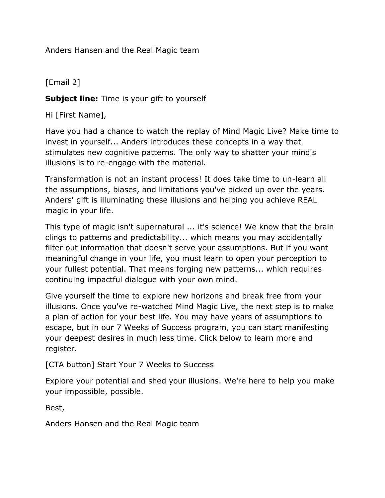Anders Hansen and the Real Magic team

[Email 2]

**Subject line:** Time is your gift to yourself

Hi [First Name],

Have you had a chance to watch the replay of Mind Magic Live? Make time to invest in yourself... Anders introduces these concepts in a way that stimulates new cognitive patterns. The only way to shatter your mind's illusions is to re-engage with the material.

Transformation is not an instant process! It does take time to un-learn all the assumptions, biases, and limitations you've picked up over the years. Anders' gift is illuminating these illusions and helping you achieve REAL magic in your life.

This type of magic isn't supernatural ... it's science! We know that the brain clings to patterns and predictability... which means you may accidentally filter out information that doesn't serve your assumptions. But if you want meaningful change in your life, you must learn to open your perception to your fullest potential. That means forging new patterns... which requires continuing impactful dialogue with your own mind.

Give yourself the time to explore new horizons and break free from your illusions. Once you've re-watched Mind Magic Live, the next step is to make a plan of action for your best life. You may have years of assumptions to escape, but in our 7 Weeks of Success program, you can start manifesting your deepest desires in much less time. Click below to learn more and register.

[CTA button] Start Your 7 Weeks to Success

Explore your potential and shed your illusions. We're here to help you make your impossible, possible.

Best,

Anders Hansen and the Real Magic team